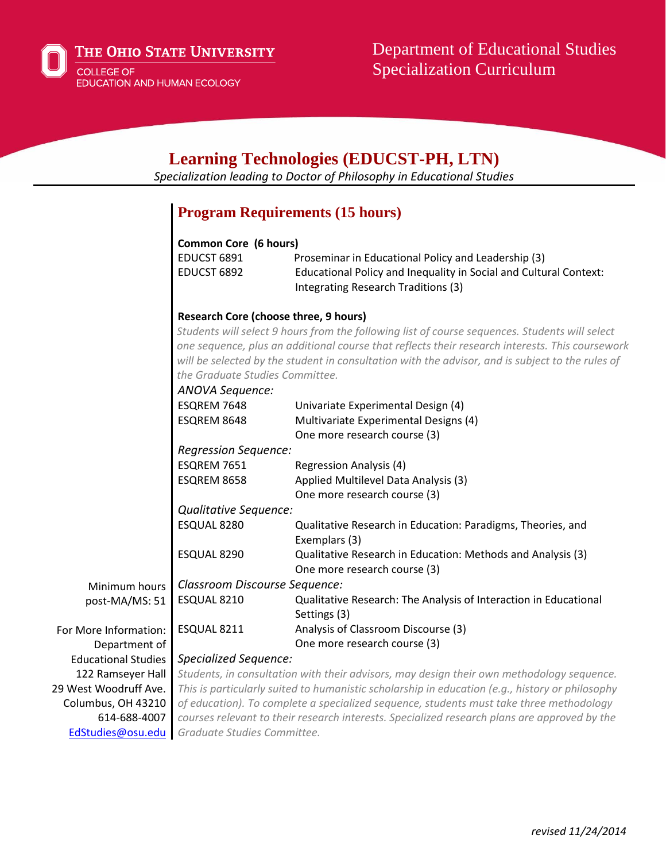

# **Learning Technologies (EDUCST-PH, LTN)**

*Specialization leading to Doctor of Philosophy in Educational Studies*

### **Program Requirements (15 hours)**

### **Common Core (6 hours)**

| EDUCST 6891 | Proseminar in Educational Policy and Leadership (3)               |
|-------------|-------------------------------------------------------------------|
| EDUCST 6892 | Educational Policy and Inequality in Social and Cultural Context: |
|             | Integrating Research Traditions (3)                               |

### **Research Core (choose three, 9 hours)**

*Students will select 9 hours from the following list of course sequences. Students will select one sequence, plus an additional course that reflects their research interests. This coursework will be selected by the student in consultation with the advisor, and is subject to the rules of the Graduate Studies Committee.*

|                            | <b>ANOVA Sequence:</b>        |                                                                                                 |
|----------------------------|-------------------------------|-------------------------------------------------------------------------------------------------|
|                            | ESQREM 7648                   | Univariate Experimental Design (4)                                                              |
|                            | ESQREM 8648                   | Multivariate Experimental Designs (4)                                                           |
|                            |                               | One more research course (3)                                                                    |
|                            | <b>Regression Sequence:</b>   |                                                                                                 |
|                            | ESQREM 7651                   | Regression Analysis (4)                                                                         |
|                            | ESQREM 8658                   | Applied Multilevel Data Analysis (3)                                                            |
|                            |                               | One more research course (3)                                                                    |
|                            | Qualitative Sequence:         |                                                                                                 |
|                            | ESQUAL 8280                   | Qualitative Research in Education: Paradigms, Theories, and                                     |
|                            |                               | Exemplars (3)                                                                                   |
|                            | ESQUAL 8290                   | Qualitative Research in Education: Methods and Analysis (3)                                     |
|                            |                               | One more research course (3)                                                                    |
| Minimum hours              | Classroom Discourse Sequence: |                                                                                                 |
| post-MA/MS: 51             | ESQUAL 8210                   | Qualitative Research: The Analysis of Interaction in Educational                                |
|                            |                               | Settings (3)                                                                                    |
| For More Information:      | ESQUAL 8211                   | Analysis of Classroom Discourse (3)                                                             |
| Department of              |                               | One more research course (3)                                                                    |
| <b>Educational Studies</b> | <b>Specialized Sequence:</b>  |                                                                                                 |
| 122 Ramseyer Hall          |                               | Students, in consultation with their advisors, may design their own methodology sequence.       |
| 29 West Woodruff Ave.      |                               | This is particularly suited to humanistic scholarship in education (e.g., history or philosophy |
| Columbus, OH 43210         |                               | of education). To complete a specialized sequence, students must take three methodology         |
| 614-688-4007               |                               | courses relevant to their research interests. Specialized research plans are approved by the    |
| EdStudies@osu.edu          | Graduate Studies Committee.   |                                                                                                 |